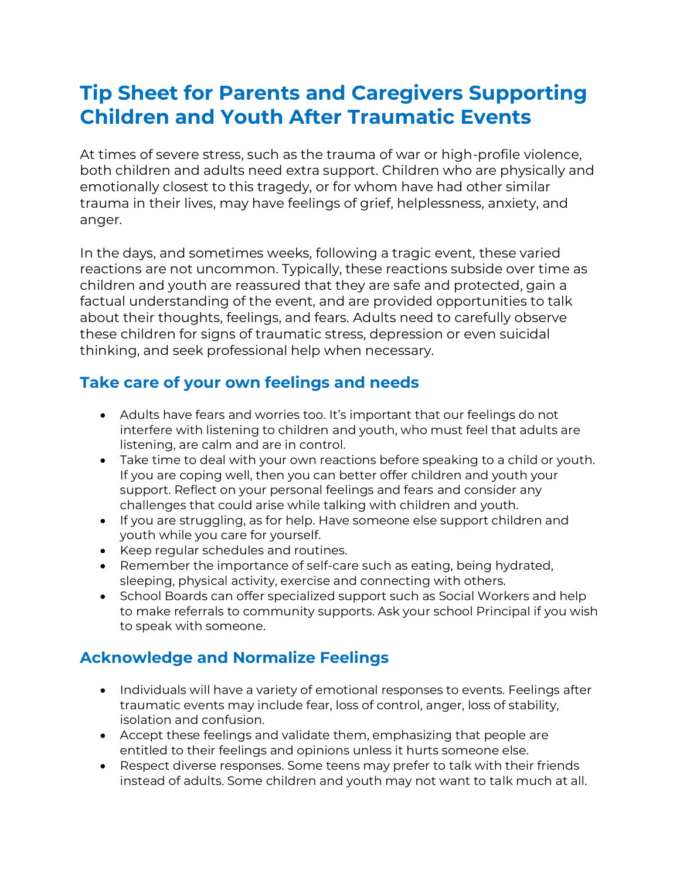# **Tip Sheet for Parents and Caregivers Supporting Children and Youth After Traumatic Events**

At times of severe stress, such as the trauma of war or high-profile violence, both children and adults need extra support. Children who are physically and emotionally closest to this tragedy, or for whom have had other similar trauma in their lives, may have feelings of grief, helplessness, anxiety, and anger.

In the days, and sometimes weeks, following a tragic event, these varied reactions are not uncommon. Typically, these reactions subside over time as children and youth are reassured that they are safe and protected, gain a factual understanding of the event, and are provided opportunities to talk about their thoughts, feelings, and fears. Adults need to carefully observe these children for signs of traumatic stress, depression or even suicidal thinking, and seek professional help when necessary.

## **Take care of your own feelings and needs**

- Adults have fears and worries too. It's important that our feelings do not interfere with listening to children and youth, who must feel that adults are listening, are calm and are in control.
- Take time to deal with your own reactions before speaking to a child or youth. If you are coping well, then you can better offer children and youth your support. Reflect on your personal feelings and fears and consider any challenges that could arise while talking with children and youth.
- If you are struggling, as for help. Have someone else support children and youth while you care for yourself.
- Keep regular schedules and routines.
- Remember the importance of self-care such as eating, being hydrated, sleeping, physical activity, exercise and connecting with others.
- School Boards can offer specialized support such as Social Workers and help to make referrals to community supports. Ask your school Principal if you wish to speak with someone.

### **Acknowledge and Normalize Feelings**

- Individuals will have a variety of emotional responses to events. Feelings after traumatic events may include fear, loss of control, anger, loss of stability, isolation and confusion.
- Accept these feelings and validate them, emphasizing that people are entitled to their feelings and opinions unless it hurts someone else.
- Respect diverse responses. Some teens may prefer to talk with their friends instead of adults. Some children and youth may not want to talk much at all.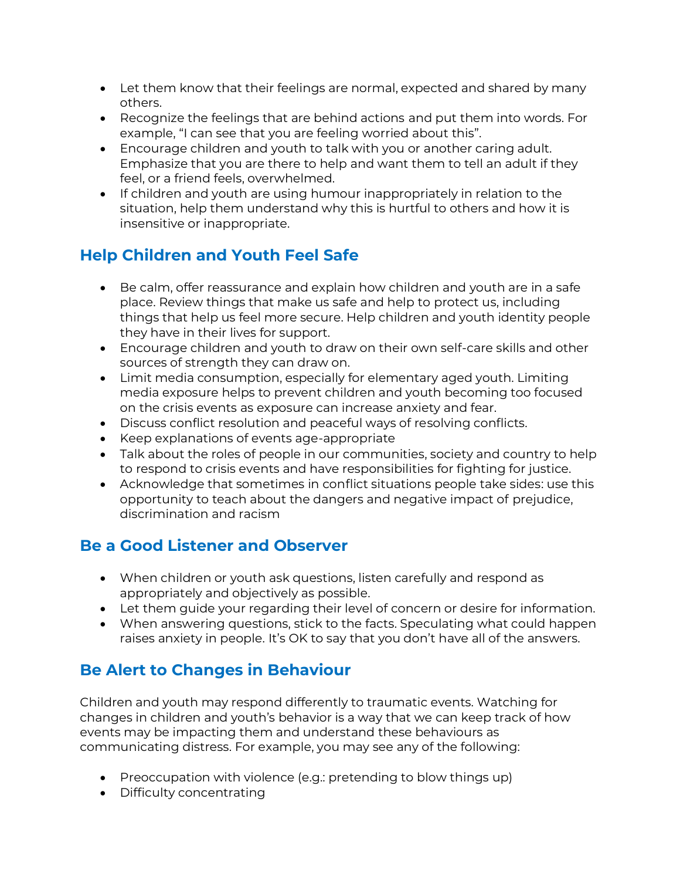- Let them know that their feelings are normal, expected and shared by many others.
- Recognize the feelings that are behind actions and put them into words. For example, "I can see that you are feeling worried about this".
- Encourage children and youth to talk with you or another caring adult. Emphasize that you are there to help and want them to tell an adult if they feel, or a friend feels, overwhelmed.
- If children and youth are using humour inappropriately in relation to the situation, help them understand why this is hurtful to others and how it is insensitive or inappropriate.

# **Help Children and Youth Feel Safe**

- Be calm, offer reassurance and explain how children and youth are in a safe place. Review things that make us safe and help to protect us, including things that help us feel more secure. Help children and youth identity people they have in their lives for support.
- Encourage children and youth to draw on their own self-care skills and other sources of strength they can draw on.
- Limit media consumption, especially for elementary aged youth. Limiting media exposure helps to prevent children and youth becoming too focused on the crisis events as exposure can increase anxiety and fear.
- Discuss conflict resolution and peaceful ways of resolving conflicts.
- Keep explanations of events age-appropriate
- Talk about the roles of people in our communities, society and country to help to respond to crisis events and have responsibilities for fighting for justice.
- Acknowledge that sometimes in conflict situations people take sides: use this opportunity to teach about the dangers and negative impact of prejudice, discrimination and racism

## **Be a Good Listener and Observer**

- When children or youth ask questions, listen carefully and respond as appropriately and objectively as possible.
- Let them guide your regarding their level of concern or desire for information.
- When answering questions, stick to the facts. Speculating what could happen raises anxiety in people. It's OK to say that you don't have all of the answers.

# **Be Alert to Changes in Behaviour**

Children and youth may respond differently to traumatic events. Watching for changes in children and youth's behavior is a way that we can keep track of how events may be impacting them and understand these behaviours as communicating distress. For example, you may see any of the following:

- Preoccupation with violence (e.g.: pretending to blow things up)
- Difficulty concentrating